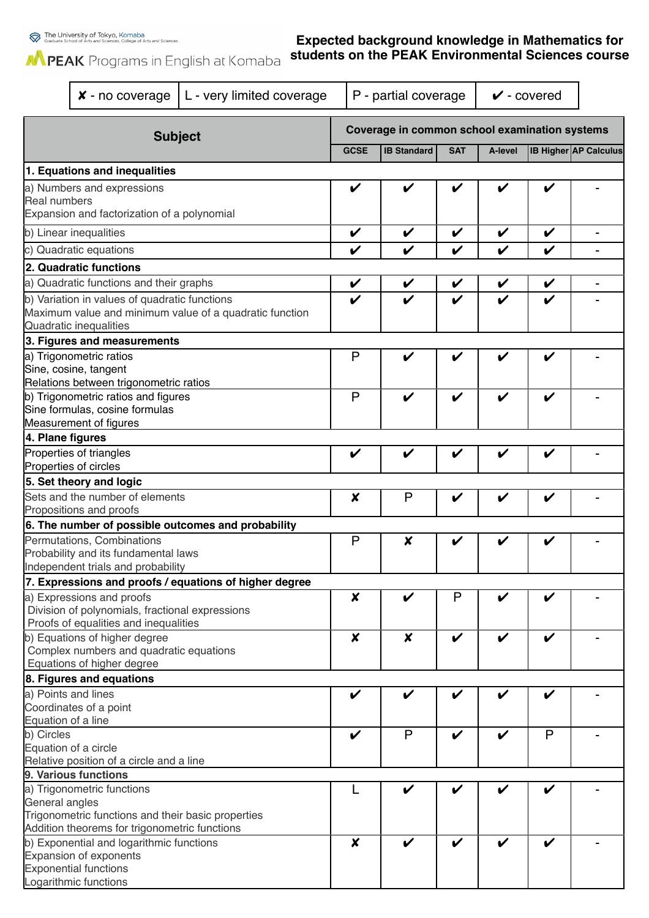## **Expected background knowledge in Mathematics for students on the PEAK Environmental Sciences course**

|                                                                    | $x$ - no coverage                                                          | L - very limited coverage                               |                                               | P - partial coverage |                    |                    | $\checkmark$ - covered |                              |  |  |
|--------------------------------------------------------------------|----------------------------------------------------------------------------|---------------------------------------------------------|-----------------------------------------------|----------------------|--------------------|--------------------|------------------------|------------------------------|--|--|
| <b>Subject</b>                                                     |                                                                            |                                                         | Coverage in common school examination systems |                      |                    |                    |                        |                              |  |  |
|                                                                    |                                                                            |                                                         | <b>GCSE</b>                                   | <b>IB Standard</b>   | <b>SAT</b>         | A-level            |                        | <b>IB Higher AP Calculus</b> |  |  |
|                                                                    | 1. Equations and inequalities                                              |                                                         |                                               |                      |                    |                    |                        |                              |  |  |
| a) Numbers and expressions                                         |                                                                            |                                                         | ✔                                             |                      |                    | ✔                  |                        |                              |  |  |
| <b>Real numbers</b><br>Expansion and factorization of a polynomial |                                                                            |                                                         |                                               |                      |                    |                    |                        |                              |  |  |
| b) Linear inequalities                                             |                                                                            |                                                         | V                                             | V                    | V                  | $\boldsymbol{\nu}$ | V                      |                              |  |  |
| c) Quadratic equations                                             |                                                                            |                                                         | V                                             | V                    | V                  | V                  | V                      |                              |  |  |
|                                                                    | 2. Quadratic functions                                                     |                                                         |                                               |                      |                    |                    |                        |                              |  |  |
|                                                                    | a) Quadratic functions and their graphs                                    |                                                         | V                                             | V                    | V                  | V                  | V                      |                              |  |  |
|                                                                    | b) Variation in values of quadratic functions                              |                                                         | V                                             |                      |                    | V                  | V                      |                              |  |  |
|                                                                    |                                                                            | Maximum value and minimum value of a quadratic function |                                               |                      |                    |                    |                        |                              |  |  |
|                                                                    | Quadratic inequalities                                                     |                                                         |                                               |                      |                    |                    |                        |                              |  |  |
|                                                                    | 3. Figures and measurements                                                |                                                         |                                               |                      |                    |                    |                        |                              |  |  |
|                                                                    | a) Trigonometric ratios                                                    |                                                         | P                                             | V                    | V                  | V                  | V                      |                              |  |  |
|                                                                    | Sine, cosine, tangent                                                      |                                                         |                                               |                      |                    |                    |                        |                              |  |  |
|                                                                    | Relations between trigonometric ratios                                     |                                                         |                                               |                      |                    |                    |                        |                              |  |  |
|                                                                    | b) Trigonometric ratios and figures<br>Sine formulas, cosine formulas      |                                                         | P                                             | V                    | ✔                  | V                  | V                      |                              |  |  |
|                                                                    | Measurement of figures                                                     |                                                         |                                               |                      |                    |                    |                        |                              |  |  |
| 4. Plane figures                                                   |                                                                            |                                                         |                                               |                      |                    |                    |                        |                              |  |  |
|                                                                    | Properties of triangles                                                    |                                                         | V                                             | V                    |                    | V                  | V                      |                              |  |  |
|                                                                    | Properties of circles                                                      |                                                         |                                               |                      |                    |                    |                        |                              |  |  |
| 5. Set theory and logic                                            |                                                                            |                                                         |                                               |                      |                    |                    |                        |                              |  |  |
|                                                                    | Sets and the number of elements                                            |                                                         | $\pmb{\times}$                                | P                    | V                  | V                  | V                      |                              |  |  |
|                                                                    | Propositions and proofs                                                    |                                                         |                                               |                      |                    |                    |                        |                              |  |  |
|                                                                    |                                                                            | 6. The number of possible outcomes and probability      |                                               |                      |                    |                    |                        |                              |  |  |
|                                                                    | Permutations, Combinations                                                 |                                                         | P                                             | X                    |                    |                    |                        |                              |  |  |
|                                                                    | Probability and its fundamental laws<br>Independent trials and probability |                                                         |                                               |                      |                    |                    |                        |                              |  |  |
|                                                                    |                                                                            | 7. Expressions and proofs / equations of higher degree  |                                               |                      |                    |                    |                        |                              |  |  |
|                                                                    | a) Expressions and proofs                                                  |                                                         | X                                             | V                    | P                  | V                  | V                      |                              |  |  |
|                                                                    | Division of polynomials, fractional expressions                            |                                                         |                                               |                      |                    |                    |                        |                              |  |  |
|                                                                    | Proofs of equalities and inequalities                                      |                                                         |                                               |                      |                    |                    |                        |                              |  |  |
|                                                                    | b) Equations of higher degree                                              |                                                         | $\boldsymbol{x}$                              | $\boldsymbol{x}$     | $\boldsymbol{\nu}$ | $\checkmark$       | V                      |                              |  |  |
|                                                                    | Complex numbers and quadratic equations                                    |                                                         |                                               |                      |                    |                    |                        |                              |  |  |
|                                                                    | Equations of higher degree                                                 |                                                         |                                               |                      |                    |                    |                        |                              |  |  |
|                                                                    | 8. Figures and equations<br>a) Points and lines                            |                                                         | V                                             | V                    |                    | V                  | V                      |                              |  |  |
|                                                                    | Coordinates of a point                                                     |                                                         |                                               |                      |                    |                    |                        |                              |  |  |
|                                                                    | Equation of a line                                                         |                                                         |                                               |                      |                    |                    |                        |                              |  |  |
| b) Circles                                                         |                                                                            | V                                                       | $\mathsf{P}$                                  | V                    | $\checkmark$       | P                  |                        |                              |  |  |
| Equation of a circle                                               |                                                                            |                                                         |                                               |                      |                    |                    |                        |                              |  |  |
|                                                                    | Relative position of a circle and a line                                   |                                                         |                                               |                      |                    |                    |                        |                              |  |  |
|                                                                    | 9. Various functions                                                       |                                                         |                                               |                      |                    |                    |                        |                              |  |  |
| General angles                                                     | a) Trigonometric functions                                                 |                                                         |                                               |                      |                    |                    |                        |                              |  |  |
|                                                                    | Trigonometric functions and their basic properties                         |                                                         |                                               |                      |                    |                    |                        |                              |  |  |
|                                                                    | Addition theorems for trigonometric functions                              |                                                         |                                               |                      |                    |                    |                        |                              |  |  |
| b) Exponential and logarithmic functions                           |                                                                            | $\boldsymbol{x}$                                        |                                               |                      |                    |                    |                        |                              |  |  |
| Expansion of exponents                                             |                                                                            |                                                         |                                               |                      |                    |                    |                        |                              |  |  |
|                                                                    | <b>Exponential functions</b>                                               |                                                         |                                               |                      |                    |                    |                        |                              |  |  |
|                                                                    | Logarithmic functions                                                      |                                                         |                                               |                      |                    |                    |                        |                              |  |  |